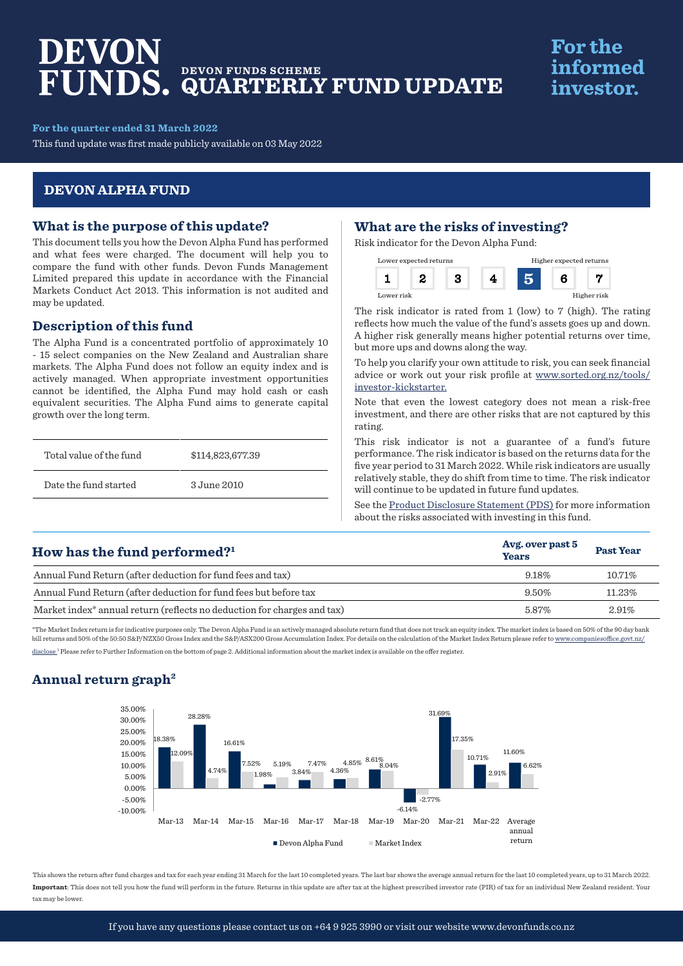# DEVON **DEVON FUNDS SCHEME QUARTERLY FUND UPDATE**

# **For the** informed investor.

### **For the quarter ended 31 March 2022**

This fund update was first made publicly available on 03 May 2022

## **DEVON ALPHA FUND**

### **What is the purpose of this update?**

This document tells you how the Devon Alpha Fund has performed and what fees were charged. The document will help you to compare the fund with other funds. Devon Funds Management Limited prepared this update in accordance with the Financial Markets Conduct Act 2013. This information is not audited and may be updated.

## **Description of this fund**

The Alpha Fund is a concentrated portfolio of approximately 10 - 15 select companies on the New Zealand and Australian share markets. The Alpha Fund does not follow an equity index and is actively managed. When appropriate investment opportunities cannot be identified, the Alpha Fund may hold cash or cash equivalent securities. The Alpha Fund aims to generate capital growth over the long term.

| Total value of the fund | \$114,823,677.39 |
|-------------------------|------------------|
| Date the fund started   | 3 June 2010      |

# **What are the risks of investing?**

Risk indicator for the Devon Alpha Fund:



The risk indicator is rated from 1 (low) to 7 (high). The rating reflects how much the value of the fund's assets goes up and down. A higher risk generally means higher potential returns over time, but more ups and downs along the way.

To help you clarify your own attitude to risk, you can seek financial advice or work out your risk profile at [www.sorted.org.nz/tools/](http://www.sorted.org.nz/tools/investor-kickstarter) [investor-kickstarter.](http://www.sorted.org.nz/tools/investor-kickstarter)

Note that even the lowest category does not mean a risk-free investment, and there are other risks that are not captured by this rating.

This risk indicator is not a guarantee of a fund's future performance. The risk indicator is based on the returns data for the five year period to 31 March 2022. While risk indicators are usually relatively stable, they do shift from time to time. The risk indicator will continue to be updated in future fund updates.

See the [Product Disclosure Statement \(PDS\)](https://devonfunds.co.nz/sites/default/files/Devon%20Investment%20Funds%20Product%20Disclosure%20Statement.pdf) for more information about the risks associated with investing in this fund.

| How has the fund performed? $1$                                                     | Avg. over past 5<br><b>Years</b> | <b>Past Year</b> |
|-------------------------------------------------------------------------------------|----------------------------------|------------------|
| Annual Fund Return (after deduction for fund fees and tax)                          | 9.18%                            | 10.71%           |
| Annual Fund Return (after deduction for fund fees but before tax                    | 9.50%                            | 11.23%           |
| Market index <sup>*</sup> annual return (reflects no deduction for charges and tax) | 5.87%                            | 2.91%            |

\*The Market Index return is for indicative purposes only. The Devon Alpha Fund is an actively managed absolute return fund that does not track an equity index. The market index is based on 50% of the 90 day bank bill returns and 50% of the 50:50 S&P/NZX50 Gross Index and the S&P/ASX200 Gross Accumulation Index. For details on the calculation of the Market Index Return please refer to www.companiesoffice.govt.nz/ disclose<sup>1</sup> Please refer to Further Information on the bottom of page 2. Additional information about the market index is available on the offer register.

# **Annual return graph2**



This shows the return after fund charges and tax for each year ending 31 March for the last 10 completed years. The last bar shows the average annual return for the last 10 completed years, up to 31 March 2022. **Important**: This does not tell you how the fund will perform in the future. Returns in this update are after tax at the highest prescribed investor rate (PIR) of tax for an individual New Zealand resident. Your tax may be lower.